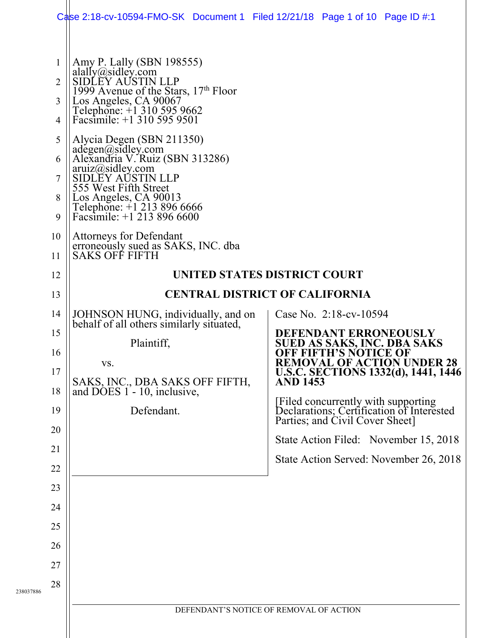|           |                                                                                                                                                                                                 | Case 2:18-cv-10594-FMO-SK Document 1 Filed $12/21/18$ Page 1 of 10 Page ID #:1                                                                                                                                                                                                                                                                                                                                                                                                                                                                                                                                                                                                                                                                                                                                                                                              |                                                                                                                                                                                                                                                                                                                                                                                                                                                                                                         |  |
|-----------|-------------------------------------------------------------------------------------------------------------------------------------------------------------------------------------------------|-----------------------------------------------------------------------------------------------------------------------------------------------------------------------------------------------------------------------------------------------------------------------------------------------------------------------------------------------------------------------------------------------------------------------------------------------------------------------------------------------------------------------------------------------------------------------------------------------------------------------------------------------------------------------------------------------------------------------------------------------------------------------------------------------------------------------------------------------------------------------------|---------------------------------------------------------------------------------------------------------------------------------------------------------------------------------------------------------------------------------------------------------------------------------------------------------------------------------------------------------------------------------------------------------------------------------------------------------------------------------------------------------|--|
| 238037886 | $\mathbf 1$<br>$\overline{2}$<br>3<br>$\overline{4}$<br>5<br>6<br>7<br>8<br>9<br>10<br>11<br>12<br>13<br>14<br>15<br>16<br>17<br>18<br>19<br>20<br>21<br>22<br>23<br>24<br>25<br>26<br>27<br>28 | Amy P. Lally (SBN 198555)<br>alally@sidley.com<br>SIDLEY AUSTIN LLP<br>$\begin{array}{l}\n\overline{1999} \text{ Avenue of the Stars, } 17^{\text{th}} \text{ Floor} \\ \text{Los Angeles, CA } 90067 \\ \text{Telephone: } +1 \text{ } 310 \text{ } 595 \text{ } 9662 \\ \text{Facsimile: } +1 \text{ } 310 \text{ } 595 \text{ } 9501\n\end{array}$<br>Alycia Degen (SBN 211350)<br>adegen@sidley.com<br>Alexandria V. Ruiz (SBN 313286)<br>aruiz@sidley.com<br>SIDLEY AUSTIN LLP<br>555 West Fifth Street<br>Los Angeles, CA 90013<br>Telephone: +1 213 896 6666<br>Facsimile: +1 213 896 6600<br>Attorneys for Defendant<br>erroneously sued as SAKS, INC. dba<br>SAKS OFF FIFTH<br>JOHNSON HUNG, individually, and on<br>behalf of all others similarly situated,<br>Plaintiff,<br>VS.<br>SAKS, INC., DBA SAKS OFF FIFTH,<br>and DOES 1 - 10, inclusive,<br>Defendant. | UNITED STATES DISTRICT COURT<br><b>CENTRAL DISTRICT OF CALIFORNIA</b><br>Case No. 2:18-cv-10594<br><b>DEFENDANT ERRONEOUSLY</b><br><b>SUED AS SAKS, INC. DBA SAKS</b><br><b>OFF FIFTH'S NOTICE OF</b><br><b>REMOVAL OF ACTION UNDER 28</b><br>U.S.C. SECTIONS 1332(d), 1441, 1446<br>AND 1453<br>[Filed concurrently with supporting<br>Declarations: Certification of Interested<br>Parties; and Civil Cover Sheet]<br>State Action Filed: November 15, 2018<br>State Action Served: November 26, 2018 |  |
|           |                                                                                                                                                                                                 | DEFENDANT'S NOTICE OF REMOVAL OF ACTION                                                                                                                                                                                                                                                                                                                                                                                                                                                                                                                                                                                                                                                                                                                                                                                                                                     |                                                                                                                                                                                                                                                                                                                                                                                                                                                                                                         |  |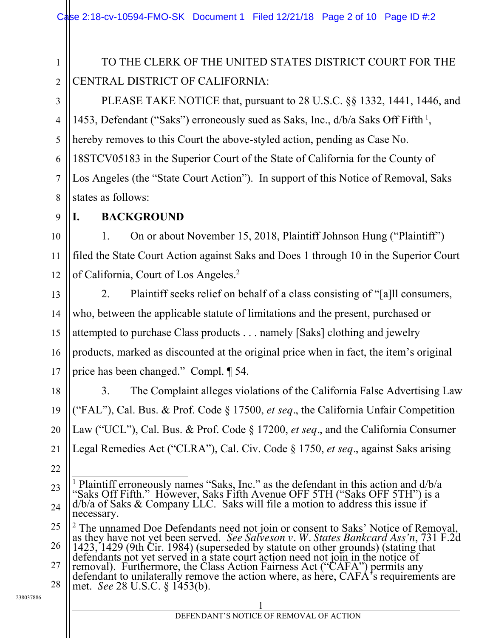1 2 TO THE CLERK OF THE UNITED STATES DISTRICT COURT FOR THE CENTRAL DISTRICT OF CALIFORNIA:

PLEASE TAKE NOTICE that, pursuant to 28 U.S.C. §§ 1332, 1441, 1446, and 1453, Defendant ("Saks") erroneously sued as Saks, Inc.,  $d/b/a$  Saks Off Fifth<sup>1</sup>, hereby removes to this Court the above-styled action, pending as Case No. 18STCV05183 in the Superior Court of the State of California for the County of Los Angeles (the "State Court Action"). In support of this Notice of Removal, Saks states as follows:

9

10

11

12

13

14

15

16

17

3

4

5

6

7

8

#### **I. BACKGROUND**

1. On or about November 15, 2018, Plaintiff Johnson Hung ("Plaintiff") filed the State Court Action against Saks and Does 1 through 10 in the Superior Court of California, Court of Los Angeles.<sup>2</sup>

2. Plaintiff seeks relief on behalf of a class consisting of "[a]ll consumers, who, between the applicable statute of limitations and the present, purchased or attempted to purchase Class products . . . namely [Saks] clothing and jewelry products, marked as discounted at the original price when in fact, the item's original price has been changed." Compl. ¶ 54.

18 19 20 21 3. The Complaint alleges violations of the California False Advertising Law ("FAL"), Cal. Bus. & Prof. Code § 17500, *et seq.*, the California Unfair Competition Law ("UCL"), Cal. Bus. & Prof. Code § 17200, *et seq.*, and the California Consumer Legal Remedies Act ("CLRA"), Cal. Civ. Code § 1750, *et seq.*, against Saks arising

- 22
- 23

28 removal). Furthermore, the Class Action Fairness Act ("CAFA") permits any defendant to unilaterally remove the action where, as here, CAFA's requirements are met. *See* 28 U.S.C. § 1453(b).

<sup>24</sup> <sup>1</sup> Plaintiff erroneously names "Saks, Inc." as the defendant in this action and d/b/a "Saks Off Fifth." However, Saks Fifth Avenue OFF 5TH ("Saks OFF 5TH") is a d/b/a of Saks & Company LLC. Saks will file a motion to address this issue if  $d/b/a$  of Saks & Company LLC. Saks will file a motion to address this issue if necessary.

<sup>25</sup> 26 <sup>2</sup> The unnamed Doe Defendants need not join or consent to Saks' Notice of Removal, <sup>2</sup> The unnamed Doe Defendants need not join or consent to Saks' Notice of Removal, as they have not yet been served. *See Salveson v. W. States Bankcard Ass'n*, 731 F.2d 1423, 1429 (9th Cir. 1984) (superseded by statute

<sup>27</sup>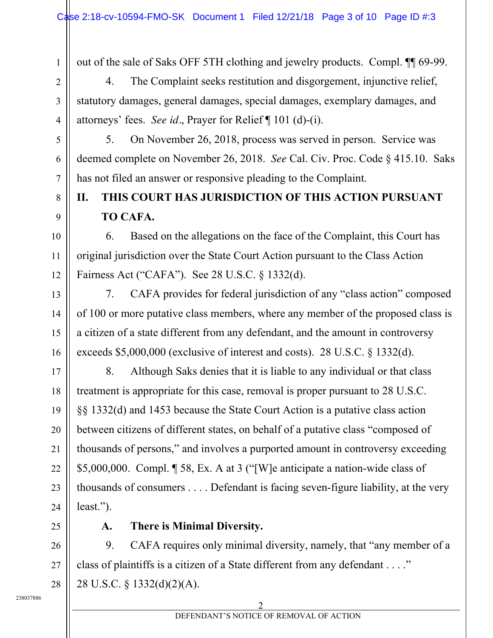out of the sale of Saks OFF 5TH clothing and jewelry products. Compl. ¶¶ 69-99.

4. The Complaint seeks restitution and disgorgement, injunctive relief, statutory damages, general damages, special damages, exemplary damages, and attorneys' fees. *See id.*, Prayer for Relief ¶ 101 (d)-(i).

5. On November 26, 2018, process was served in person. Service was deemed complete on November 26, 2018. *See* Cal. Civ. Proc. Code § 415.10. Saks has not filed an answer or responsive pleading to the Complaint.

# **II. THIS COURT HAS JURISDICTION OF THIS ACTION PURSUANT TO CAFA.**

6. Based on the allegations on the face of the Complaint, this Court has original jurisdiction over the State Court Action pursuant to the Class Action Fairness Act ("CAFA"). See 28 U.S.C. § 1332(d).

7. CAFA provides for federal jurisdiction of any "class action" composed of 100 or more putative class members, where any member of the proposed class is a citizen of a state different from any defendant, and the amount in controversy exceeds \$5,000,000 (exclusive of interest and costs). 28 U.S.C. § 1332(d).

8. Although Saks denies that it is liable to any individual or that class treatment is appropriate for this case, removal is proper pursuant to 28 U.S.C. §§ 1332(d) and 1453 because the State Court Action is a putative class action between citizens of different states, on behalf of a putative class "composed of thousands of persons," and involves a purported amount in controversy exceeding \$5,000,000. Compl. ¶ 58, Ex. A at 3 ("[W]e anticipate a nation-wide class of thousands of consumers . . . . Defendant is facing seven-figure liability, at the very least.").

1

2

3

4

5

6

7

8

9

10

11

12

13

14

15

16

17

18

19

20

21

22

23

24

25

# **A. There is Minimal Diversity.**

26 27 28 9. CAFA requires only minimal diversity, namely, that "any member of a class of plaintiffs is a citizen of a State different from any defendant . . . ." 28 U.S.C. § 1332(d)(2)(A).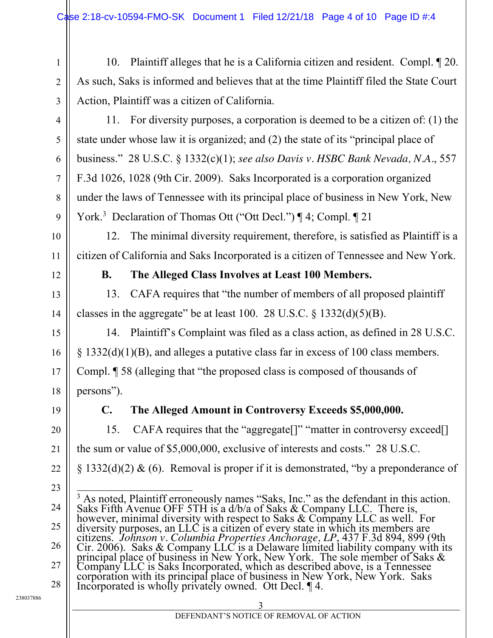10. Plaintiff alleges that he is a California citizen and resident. Compl. ¶ 20. As such, Saks is informed and believes that at the time Plaintiff filed the State Court Action, Plaintiff was a citizen of California.

11. For diversity purposes, a corporation is deemed to be a citizen of: (1) the state under whose law it is organized; and (2) the state of its "principal place of business." 28 U.S.C. § 1332(c)(1); *see also Davis v. HSBC Bank Nevada, N.A.*, 557 F.3d 1026, 1028 (9th Cir. 2009). Saks Incorporated is a corporation organized under the laws of Tennessee with its principal place of business in New York, New York.<sup>3</sup> Declaration of Thomas Ott ("Ott Decl.") | 4; Compl. | 21

12. The minimal diversity requirement, therefore, is satisfied as Plaintiff is a citizen of California and Saks Incorporated is a citizen of Tennessee and New York.

1

2

3

4

5

6

7

8

9

10

11

12

13

14

15

16

17

18

20

21

22

23

24

25

26

27

28

### **B. The Alleged Class Involves at Least 100 Members.**

13. CAFA requires that "the number of members of all proposed plaintiff classes in the aggregate" be at least 100. 28 U.S.C.  $\S$  1332(d)(5)(B).

14. Plaintiff's Complaint was filed as a class action, as defined in 28 U.S.C. § 1332(d)(1)(B), and alleges a putative class far in excess of 100 class members. Compl. ¶ 58 (alleging that "the proposed class is composed of thousands of persons").

19

# **C. The Alleged Amount in Controversy Exceeds \$5,000,000.**

15. CAFA requires that the "aggregate<sup>[]"</sup> "matter in controversy exceed<sup>[]</sup> the sum or value of \$5,000,000, exclusive of interests and costs." 28 U.S.C. § 1332(d)(2) & (6). Removal is proper if it is demonstrated, "by a preponderance of

<sup>3</sup> As noted, Plaintiff erroneously names "Saks, Inc." as the defendant in this action. Saks Fifth Avenue OFF 5TH is a d/b/a of Saks & Company LLC. There is, however, minimal diversity with respect to Saks & Company LLC as well. For diversity purposes, an LLC is a citizen of every state in which its members are citizens. *Johnson v. Columbia Properties Anchorage, LP*, 437 F.3d 894, 899 (9th<br>Cir. 2006). Saks & Company LLC is a Delaware limited liability company with its<br>principal place of business in New York, New York. The sole m Company LLC is Saks Incorporated, which as described above, is a Tennessee corporation with its principal place of business in New York, New York. Saks Incorporated is wholly privately owned. Ott Decl. ¶ 4.

238037886

#### $\overline{3}$ DEFENDANT'S NOTICE OF REMOVAL OF ACTION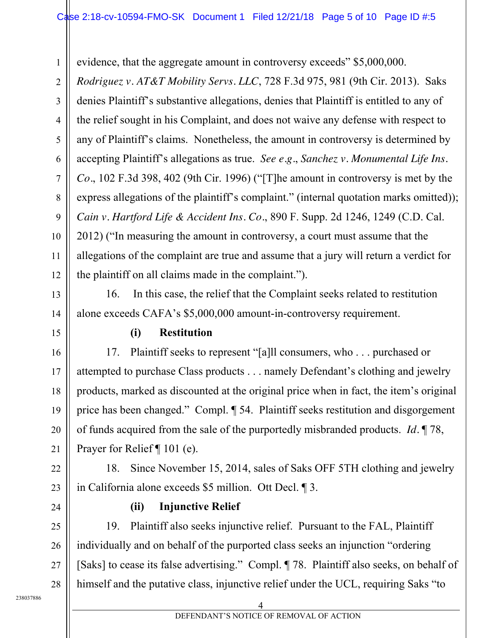evidence, that the aggregate amount in controversy exceeds" \$5,000,000.

*Rodriguez v. AT&T Mobility Servs. LLC*, 728 F.3d 975, 981 (9th Cir. 2013). Saks denies Plaintiff's substantive allegations, denies that Plaintiff is entitled to any of the relief sought in his Complaint, and does not waive any defense with respect to any of Plaintiff's claims. Nonetheless, the amount in controversy is determined by accepting Plaintiff's allegations as true. *See e.g.*, *Sanchez v. Monumental Life Ins. Co.*, 102 F.3d 398, 402 (9th Cir. 1996) ("[T]he amount in controversy is met by the express allegations of the plaintiff's complaint." (internal quotation marks omitted)); *Cain v. Hartford Life & Accident Ins. Co.*, 890 F. Supp. 2d 1246, 1249 (C.D. Cal. 2012) ("In measuring the amount in controversy, a court must assume that the allegations of the complaint are true and assume that a jury will return a verdict for the plaintiff on all claims made in the complaint.").

16. In this case, the relief that the Complaint seeks related to restitution alone exceeds CAFA's \$5,000,000 amount-in-controversy requirement.

#### **(i) Restitution**

17. Plaintiff seeks to represent "[a]ll consumers, who . . . purchased or attempted to purchase Class products . . . namely Defendant's clothing and jewelry products, marked as discounted at the original price when in fact, the item's original price has been changed." Compl. ¶ 54. Plaintiff seeks restitution and disgorgement of funds acquired from the sale of the purportedly misbranded products. *Id.* ¶ 78, Prayer for Relief ¶ 101 (e).

18. Since November 15, 2014, sales of Saks OFF 5TH clothing and jewelry in California alone exceeds \$5 million. Ott Decl. ¶ 3.

24

27

28

1

2

3

4

5

6

7

8

9

10

11

12

13

14

15

16

17

18

19

20

21

22

23

# **(ii) Injunctive Relief**

25 26 19. Plaintiff also seeks injunctive relief. Pursuant to the FAL, Plaintiff individually and on behalf of the purported class seeks an injunction "ordering [Saks] to cease its false advertising." Compl. ¶ 78. Plaintiff also seeks, on behalf of himself and the putative class, injunctive relief under the UCL, requiring Saks "to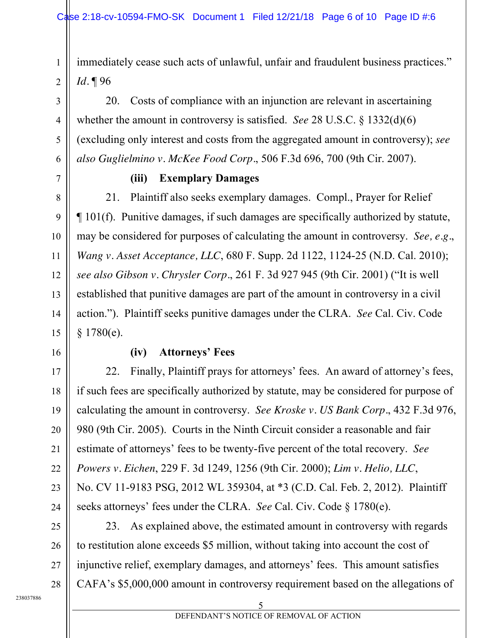immediately cease such acts of unlawful, unfair and fraudulent business practices." *Id.* ¶ 96

20. Costs of compliance with an injunction are relevant in ascertaining whether the amount in controversy is satisfied. *See* 28 U.S.C. § 1332(d)(6) (excluding only interest and costs from the aggregated amount in controversy); *see also Guglielmino v. McKee Food Corp.*, 506 F.3d 696, 700 (9th Cir. 2007).

#### **(iii) Exemplary Damages**

21. Plaintiff also seeks exemplary damages. Compl., Prayer for Relief ¶ 101(f). Punitive damages, if such damages are specifically authorized by statute, may be considered for purposes of calculating the amount in controversy. *See, e.g.*, *Wang v. Asset Acceptance, LLC*, 680 F. Supp. 2d 1122, 1124-25 (N.D. Cal. 2010); *see also Gibson v. Chrysler Corp.*, 261 F. 3d 927 945 (9th Cir. 2001) ("It is well established that punitive damages are part of the amount in controversy in a civil action."). Plaintiff seeks punitive damages under the CLRA. *See* Cal. Civ. Code § 1780(e).

16

17

18

19

20

21

22

23

24

25

26

27

28

1

2

3

4

5

6

7

8

9

10

11

12

13

14

15

#### **(iv) Attorneys' Fees**

22. Finally, Plaintiff prays for attorneys' fees. An award of attorney's fees, if such fees are specifically authorized by statute, may be considered for purpose of calculating the amount in controversy. *See Kroske v. US Bank Corp.*, 432 F.3d 976, 980 (9th Cir. 2005). Courts in the Ninth Circuit consider a reasonable and fair estimate of attorneys' fees to be twenty-five percent of the total recovery. *See Powers v. Eichen*, 229 F. 3d 1249, 1256 (9th Cir. 2000); *Lim v. Helio, LLC*, No. CV 11-9183 PSG, 2012 WL 359304, at \*3 (C.D. Cal. Feb. 2, 2012). Plaintiff seeks attorneys' fees under the CLRA. *See* Cal. Civ. Code § 1780(e).

23. As explained above, the estimated amount in controversy with regards to restitution alone exceeds \$5 million, without taking into account the cost of injunctive relief, exemplary damages, and attorneys' fees. This amount satisfies CAFA's \$5,000,000 amount in controversy requirement based on the allegations of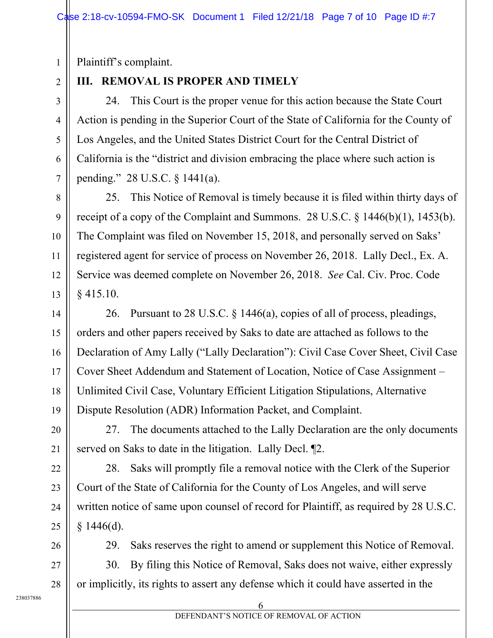Plaintiff's complaint.

### 2

3

4

5

6

7

8

9

10

11

12

13

14

15

16

17

18

19

20

21

22

23

24

25

1

# **III. REMOVAL IS PROPER AND TIMELY**

24. This Court is the proper venue for this action because the State Court Action is pending in the Superior Court of the State of California for the County of Los Angeles, and the United States District Court for the Central District of California is the "district and division embracing the place where such action is pending." 28 U.S.C. § 1441(a).

25. This Notice of Removal is timely because it is filed within thirty days of receipt of a copy of the Complaint and Summons. 28 U.S.C.  $\S$  1446(b)(1), 1453(b). The Complaint was filed on November 15, 2018, and personally served on Saks' registered agent for service of process on November 26, 2018. Lally Decl., Ex. A. Service was deemed complete on November 26, 2018. *See* Cal. Civ. Proc. Code § 415.10.

26. Pursuant to 28 U.S.C. § 1446(a), copies of all of process, pleadings, orders and other papers received by Saks to date are attached as follows to the Declaration of Amy Lally ("Lally Declaration"): Civil Case Cover Sheet, Civil Case Cover Sheet Addendum and Statement of Location, Notice of Case Assignment – Unlimited Civil Case, Voluntary Efficient Litigation Stipulations, Alternative Dispute Resolution (ADR) Information Packet, and Complaint.

27. The documents attached to the Lally Declaration are the only documents served on Saks to date in the litigation. Lally Decl. ¶2.

28. Saks will promptly file a removal notice with the Clerk of the Superior Court of the State of California for the County of Los Angeles, and will serve written notice of same upon counsel of record for Plaintiff, as required by 28 U.S.C.  $§$  1446(d).

26 27

28

29. Saks reserves the right to amend or supplement this Notice of Removal. 30. By filing this Notice of Removal, Saks does not waive, either expressly

238037886

or implicitly, its rights to assert any defense which it could have asserted in the